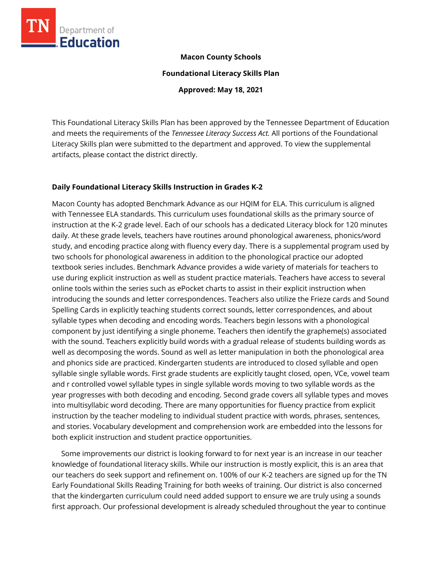

#### **Macon County Schools**

**Foundational Literacy Skills Plan**

**Approved: May 18, 2021**

This Foundational Literacy Skills Plan has been approved by the Tennessee Department of Education and meets the requirements of the *Tennessee Literacy Success Act.* All portions of the Foundational Literacy Skills plan were submitted to the department and approved. To view the supplemental artifacts, please contact the district directly.

#### **Daily Foundational Literacy Skills Instruction in Grades K-2**

Macon County has adopted Benchmark Advance as our HQIM for ELA. This curriculum is aligned with Tennessee ELA standards. This curriculum uses foundational skills as the primary source of instruction at the K-2 grade level. Each of our schools has a dedicated Literacy block for 120 minutes daily. At these grade levels, teachers have routines around phonological awareness, phonics/word study, and encoding practice along with fluency every day. There is a supplemental program used by two schools for phonological awareness in addition to the phonological practice our adopted textbook series includes. Benchmark Advance provides a wide variety of materials for teachers to use during explicit instruction as well as student practice materials. Teachers have access to several online tools within the series such as ePocket charts to assist in their explicit instruction when introducing the sounds and letter correspondences. Teachers also utilize the Frieze cards and Sound Spelling Cards in explicitly teaching students correct sounds, letter correspondences, and about syllable types when decoding and encoding words. Teachers begin lessons with a phonological component by just identifying a single phoneme. Teachers then identify the grapheme(s) associated with the sound. Teachers explicitly build words with a gradual release of students building words as well as decomposing the words. Sound as well as letter manipulation in both the phonological area and phonics side are practiced. Kindergarten students are introduced to closed syllable and open syllable single syllable words. First grade students are explicitly taught closed, open, VCe, vowel team and r controlled vowel syllable types in single syllable words moving to two syllable words as the year progresses with both decoding and encoding. Second grade covers all syllable types and moves into multisyllabic word decoding. There are many opportunities for fluency practice from explicit instruction by the teacher modeling to individual student practice with words, phrases, sentences, and stories. Vocabulary development and comprehension work are embedded into the lessons for both explicit instruction and student practice opportunities.

 Some improvements our district is looking forward to for next year is an increase in our teacher knowledge of foundational literacy skills. While our instruction is mostly explicit, this is an area that our teachers do seek support and refinement on. 100% of our K-2 teachers are signed up for the TN Early Foundational Skills Reading Training for both weeks of training. Our district is also concerned that the kindergarten curriculum could need added support to ensure we are truly using a sounds first approach. Our professional development is already scheduled throughout the year to continue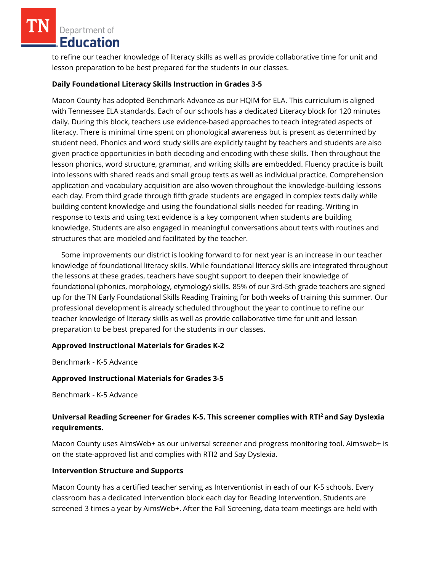Department of Education

to refine our teacher knowledge of literacy skills as well as provide collaborative time for unit and lesson preparation to be best prepared for the students in our classes.

# **Daily Foundational Literacy Skills Instruction in Grades 3-5**

Macon County has adopted Benchmark Advance as our HQIM for ELA. This curriculum is aligned with Tennessee ELA standards. Each of our schools has a dedicated Literacy block for 120 minutes daily. During this block, teachers use evidence-based approaches to teach integrated aspects of literacy. There is minimal time spent on phonological awareness but is present as determined by student need. Phonics and word study skills are explicitly taught by teachers and students are also given practice opportunities in both decoding and encoding with these skills. Then throughout the lesson phonics, word structure, grammar, and writing skills are embedded. Fluency practice is built into lessons with shared reads and small group texts as well as individual practice. Comprehension application and vocabulary acquisition are also woven throughout the knowledge-building lessons each day. From third grade through fifth grade students are engaged in complex texts daily while building content knowledge and using the foundational skills needed for reading. Writing in response to texts and using text evidence is a key component when students are building knowledge. Students are also engaged in meaningful conversations about texts with routines and structures that are modeled and facilitated by the teacher.

 Some improvements our district is looking forward to for next year is an increase in our teacher knowledge of foundational literacy skills. While foundational literacy skills are integrated throughout the lessons at these grades, teachers have sought support to deepen their knowledge of foundational (phonics, morphology, etymology) skills. 85% of our 3rd-5th grade teachers are signed up for the TN Early Foundational Skills Reading Training for both weeks of training this summer. Our professional development is already scheduled throughout the year to continue to refine our teacher knowledge of literacy skills as well as provide collaborative time for unit and lesson preparation to be best prepared for the students in our classes.

### **Approved Instructional Materials for Grades K-2**

Benchmark - K-5 Advance

### **Approved Instructional Materials for Grades 3-5**

Benchmark - K-5 Advance

# **Universal Reading Screener for Grades K-5. This screener complies with RTI<sup>2</sup>and Say Dyslexia requirements.**

Macon County uses AimsWeb+ as our universal screener and progress monitoring tool. Aimsweb+ is on the state-approved list and complies with RTI2 and Say Dyslexia.

### **Intervention Structure and Supports**

Macon County has a certified teacher serving as Interventionist in each of our K-5 schools. Every classroom has a dedicated Intervention block each day for Reading Intervention. Students are screened 3 times a year by AimsWeb+. After the Fall Screening, data team meetings are held with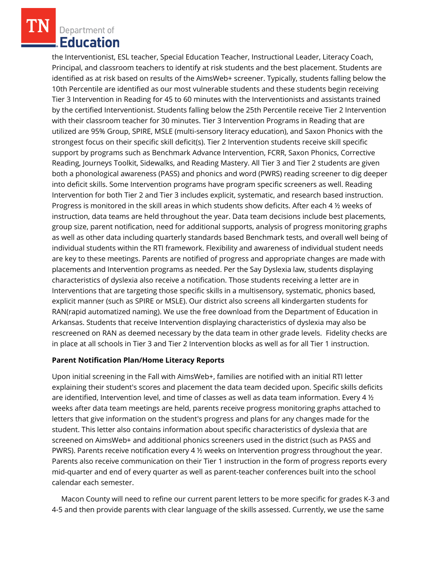Department of Education

the Interventionist, ESL teacher, Special Education Teacher, Instructional Leader, Literacy Coach, Principal, and classroom teachers to identify at risk students and the best placement. Students are identified as at risk based on results of the AimsWeb+ screener. Typically, students falling below the 10th Percentile are identified as our most vulnerable students and these students begin receiving Tier 3 Intervention in Reading for 45 to 60 minutes with the Interventionists and assistants trained by the certified Interventionist. Students falling below the 25th Percentile receive Tier 2 Intervention with their classroom teacher for 30 minutes. Tier 3 Intervention Programs in Reading that are utilized are 95% Group, SPIRE, MSLE (multi-sensory literacy education), and Saxon Phonics with the strongest focus on their specific skill deficit(s). Tier 2 Intervention students receive skill specific support by programs such as Benchmark Advance Intervention, FCRR, Saxon Phonics, Corrective Reading, Journeys Toolkit, Sidewalks, and Reading Mastery. All Tier 3 and Tier 2 students are given both a phonological awareness (PASS) and phonics and word (PWRS) reading screener to dig deeper into deficit skills. Some Intervention programs have program specific screeners as well. Reading Intervention for both Tier 2 and Tier 3 includes explicit, systematic, and research based instruction. Progress is monitored in the skill areas in which students show deficits. After each 4 ½ weeks of instruction, data teams are held throughout the year. Data team decisions include best placements, group size, parent notification, need for additional supports, analysis of progress monitoring graphs as well as other data including quarterly standards based Benchmark tests, and overall well being of individual students within the RTI framework. Flexibility and awareness of individual student needs are key to these meetings. Parents are notified of progress and appropriate changes are made with placements and Intervention programs as needed. Per the Say Dyslexia law, students displaying characteristics of dyslexia also receive a notification. Those students receiving a letter are in Interventions that are targeting those specific skills in a multisensory, systematic, phonics based, explicit manner (such as SPIRE or MSLE). Our district also screens all kindergarten students for RAN(rapid automatized naming). We use the free download from the Department of Education in Arkansas. Students that receive Intervention displaying characteristics of dyslexia may also be rescreened on RAN as deemed necessary by the data team in other grade levels. Fidelity checks are in place at all schools in Tier 3 and Tier 2 Intervention blocks as well as for all Tier 1 instruction.

### **Parent Notification Plan/Home Literacy Reports**

Upon initial screening in the Fall with AimsWeb+, families are notified with an initial RTI letter explaining their student's scores and placement the data team decided upon. Specific skills deficits are identified, Intervention level, and time of classes as well as data team information. Every 4 ½ weeks after data team meetings are held, parents receive progress monitoring graphs attached to letters that give information on the student's progress and plans for any changes made for the student. This letter also contains information about specific characteristics of dyslexia that are screened on AimsWeb+ and additional phonics screeners used in the district (such as PASS and PWRS). Parents receive notification every 4 ½ weeks on Intervention progress throughout the year. Parents also receive communication on their Tier 1 instruction in the form of progress reports every mid-quarter and end of every quarter as well as parent-teacher conferences built into the school calendar each semester.

 Macon County will need to refine our current parent letters to be more specific for grades K-3 and 4-5 and then provide parents with clear language of the skills assessed. Currently, we use the same